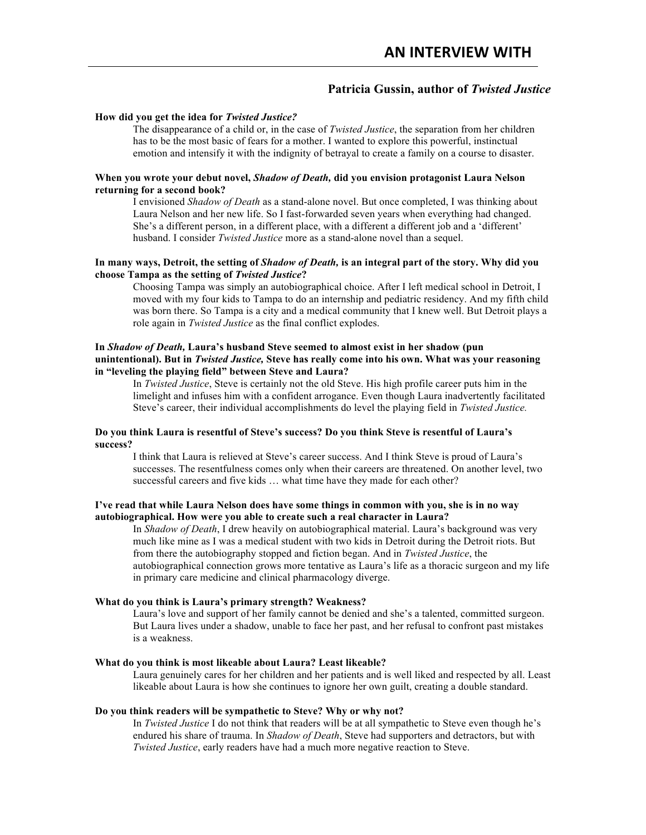# **Patricia Gussin, author of** *Twisted Justice*

#### **How did you get the idea for** *Twisted Justice?*

The disappearance of a child or, in the case of *Twisted Justice*, the separation from her children has to be the most basic of fears for a mother. I wanted to explore this powerful, instinctual emotion and intensify it with the indignity of betrayal to create a family on a course to disaster.

### **When you wrote your debut novel,** *Shadow of Death,* **did you envision protagonist Laura Nelson returning for a second book?**

I envisioned *Shadow of Death* as a stand-alone novel. But once completed, I was thinking about Laura Nelson and her new life. So I fast-forwarded seven years when everything had changed. She's a different person, in a different place, with a different a different job and a 'different' husband. I consider *Twisted Justice* more as a stand-alone novel than a sequel.

# **In many ways, Detroit, the setting of** *Shadow of Death,* **is an integral part of the story. Why did you choose Tampa as the setting of** *Twisted Justice***?**

Choosing Tampa was simply an autobiographical choice. After I left medical school in Detroit, I moved with my four kids to Tampa to do an internship and pediatric residency. And my fifth child was born there. So Tampa is a city and a medical community that I knew well. But Detroit plays a role again in *Twisted Justice* as the final conflict explodes.

# **In** *Shadow of Death,* **Laura's husband Steve seemed to almost exist in her shadow (pun unintentional). But in** *Twisted Justice,* **Steve has really come into his own. What was your reasoning in "leveling the playing field" between Steve and Laura?**

In *Twisted Justice*, Steve is certainly not the old Steve. His high profile career puts him in the limelight and infuses him with a confident arrogance. Even though Laura inadvertently facilitated Steve's career, their individual accomplishments do level the playing field in *Twisted Justice.*

### **Do you think Laura is resentful of Steve's success? Do you think Steve is resentful of Laura's success?**

I think that Laura is relieved at Steve's career success. And I think Steve is proud of Laura's successes. The resentfulness comes only when their careers are threatened. On another level, two successful careers and five kids … what time have they made for each other?

# **I've read that while Laura Nelson does have some things in common with you, she is in no way autobiographical. How were you able to create such a real character in Laura?**

In *Shadow of Death*, I drew heavily on autobiographical material. Laura's background was very much like mine as I was a medical student with two kids in Detroit during the Detroit riots. But from there the autobiography stopped and fiction began. And in *Twisted Justice*, the autobiographical connection grows more tentative as Laura's life as a thoracic surgeon and my life in primary care medicine and clinical pharmacology diverge.

# **What do you think is Laura's primary strength? Weakness?**

Laura's love and support of her family cannot be denied and she's a talented, committed surgeon. But Laura lives under a shadow, unable to face her past, and her refusal to confront past mistakes is a weakness.

#### **What do you think is most likeable about Laura? Least likeable?**

Laura genuinely cares for her children and her patients and is well liked and respected by all. Least likeable about Laura is how she continues to ignore her own guilt, creating a double standard.

#### **Do you think readers will be sympathetic to Steve? Why or why not?**

In *Twisted Justice* I do not think that readers will be at all sympathetic to Steve even though he's endured his share of trauma. In *Shadow of Death*, Steve had supporters and detractors, but with *Twisted Justice*, early readers have had a much more negative reaction to Steve.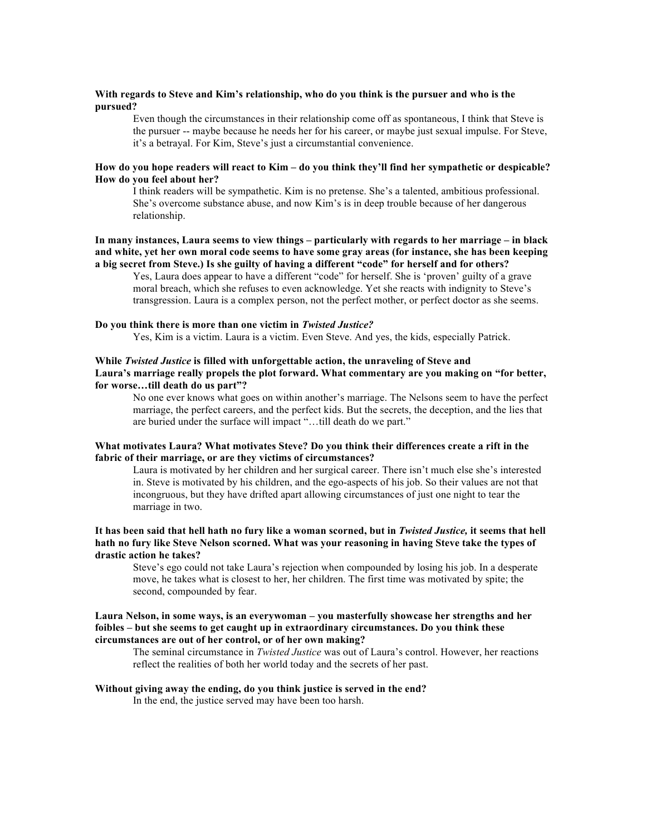#### **With regards to Steve and Kim's relationship, who do you think is the pursuer and who is the pursued?**

Even though the circumstances in their relationship come off as spontaneous, I think that Steve is the pursuer -- maybe because he needs her for his career, or maybe just sexual impulse. For Steve, it's a betrayal. For Kim, Steve's just a circumstantial convenience.

## **How do you hope readers will react to Kim – do you think they'll find her sympathetic or despicable? How do you feel about her?**

I think readers will be sympathetic. Kim is no pretense. She's a talented, ambitious professional. She's overcome substance abuse, and now Kim's is in deep trouble because of her dangerous relationship.

# **In many instances, Laura seems to view things – particularly with regards to her marriage – in black and white, yet her own moral code seems to have some gray areas (for instance, she has been keeping a big secret from Steve.) Is she guilty of having a different "code" for herself and for others?**

Yes, Laura does appear to have a different "code" for herself. She is 'proven' guilty of a grave moral breach, which she refuses to even acknowledge. Yet she reacts with indignity to Steve's transgression. Laura is a complex person, not the perfect mother, or perfect doctor as she seems.

# **Do you think there is more than one victim in** *Twisted Justice?*

Yes, Kim is a victim. Laura is a victim. Even Steve. And yes, the kids, especially Patrick.

# **While** *Twisted Justice* **is filled with unforgettable action, the unraveling of Steve and Laura's marriage really propels the plot forward. What commentary are you making on "for better, for worse…till death do us part"?**

No one ever knows what goes on within another's marriage. The Nelsons seem to have the perfect marriage, the perfect careers, and the perfect kids. But the secrets, the deception, and the lies that are buried under the surface will impact "…till death do we part."

# **What motivates Laura? What motivates Steve? Do you think their differences create a rift in the fabric of their marriage, or are they victims of circumstances?**

Laura is motivated by her children and her surgical career. There isn't much else she's interested in. Steve is motivated by his children, and the ego-aspects of his job. So their values are not that incongruous, but they have drifted apart allowing circumstances of just one night to tear the marriage in two.

### **It has been said that hell hath no fury like a woman scorned, but in** *Twisted Justice,* **it seems that hell hath no fury like Steve Nelson scorned. What was your reasoning in having Steve take the types of drastic action he takes?**

Steve's ego could not take Laura's rejection when compounded by losing his job. In a desperate move, he takes what is closest to her, her children. The first time was motivated by spite; the second, compounded by fear.

## **Laura Nelson, in some ways, is an everywoman – you masterfully showcase her strengths and her foibles – but she seems to get caught up in extraordinary circumstances. Do you think these circumstances are out of her control, or of her own making?**

The seminal circumstance in *Twisted Justice* was out of Laura's control. However, her reactions reflect the realities of both her world today and the secrets of her past.

#### **Without giving away the ending, do you think justice is served in the end?**

In the end, the justice served may have been too harsh.